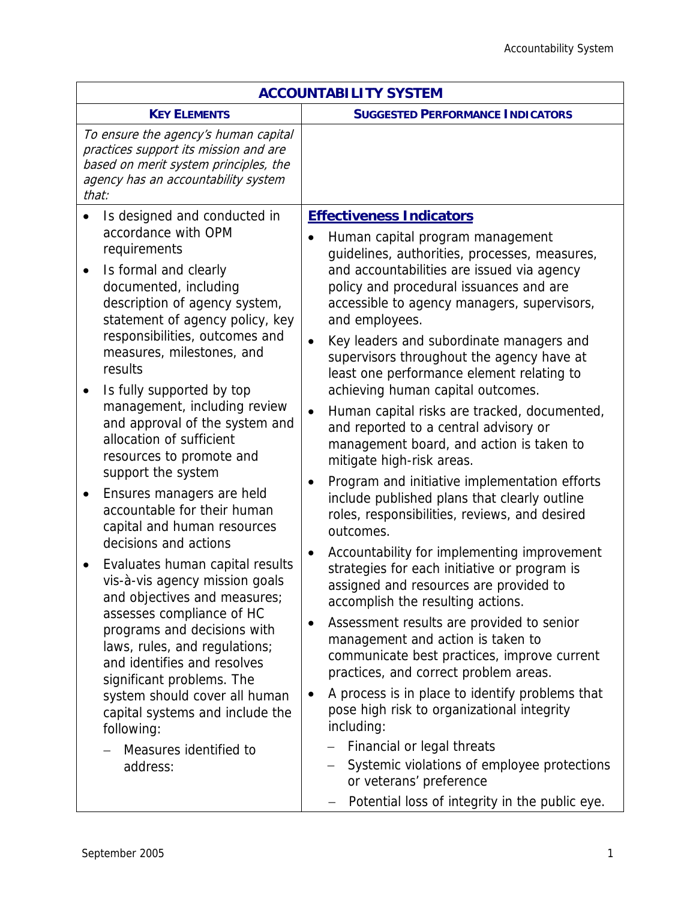| <b>ACCOUNTABILITY SYSTEM</b>                                                                                                                                                                                                                                                        |                                                                                                                                                                                                         |  |
|-------------------------------------------------------------------------------------------------------------------------------------------------------------------------------------------------------------------------------------------------------------------------------------|---------------------------------------------------------------------------------------------------------------------------------------------------------------------------------------------------------|--|
| <b>KEY ELEMENTS</b>                                                                                                                                                                                                                                                                 | <b>SUGGESTED PERFORMANCE INDICATORS</b>                                                                                                                                                                 |  |
| To ensure the agency's human capital<br>practices support its mission and are<br>based on merit system principles, the<br>agency has an accountability system<br>that:                                                                                                              |                                                                                                                                                                                                         |  |
| Is designed and conducted in<br>accordance with OPM                                                                                                                                                                                                                                 | <b>Effectiveness Indicators</b><br>Human capital program management                                                                                                                                     |  |
| requirements<br>Is formal and clearly<br>$\bullet$<br>documented, including<br>description of agency system,<br>statement of agency policy, key<br>responsibilities, outcomes and<br>measures, milestones, and<br>results                                                           | guidelines, authorities, processes, measures,<br>and accountabilities are issued via agency<br>policy and procedural issuances and are<br>accessible to agency managers, supervisors,<br>and employees. |  |
|                                                                                                                                                                                                                                                                                     | Key leaders and subordinate managers and<br>supervisors throughout the agency have at<br>least one performance element relating to<br>achieving human capital outcomes.                                 |  |
| Is fully supported by top<br>management, including review<br>and approval of the system and<br>allocation of sufficient<br>resources to promote and<br>support the system                                                                                                           | Human capital risks are tracked, documented,<br>$\bullet$<br>and reported to a central advisory or<br>management board, and action is taken to<br>mitigate high-risk areas.                             |  |
| Ensures managers are held<br>$\bullet$<br>accountable for their human<br>capital and human resources                                                                                                                                                                                | Program and initiative implementation efforts<br>$\bullet$<br>include published plans that clearly outline<br>roles, responsibilities, reviews, and desired<br>outcomes.                                |  |
| decisions and actions<br>Evaluates human capital results<br>vis-à-vis agency mission goals<br>and objectives and measures;<br>assesses compliance of HC<br>programs and decisions with<br>laws, rules, and regulations;<br>and identifies and resolves<br>significant problems. The | Accountability for implementing improvement<br>٠<br>strategies for each initiative or program is<br>assigned and resources are provided to<br>accomplish the resulting actions.                         |  |
|                                                                                                                                                                                                                                                                                     | Assessment results are provided to senior<br>$\bullet$<br>management and action is taken to<br>communicate best practices, improve current<br>practices, and correct problem areas.                     |  |
| system should cover all human<br>capital systems and include the<br>following:                                                                                                                                                                                                      | A process is in place to identify problems that<br>$\bullet$<br>pose high risk to organizational integrity<br>including:                                                                                |  |
| Measures identified to<br>address:                                                                                                                                                                                                                                                  | Financial or legal threats<br>Systemic violations of employee protections<br>or veterans' preference<br>Potential loss of integrity in the public eye.<br>$\overline{\phantom{0}}$                      |  |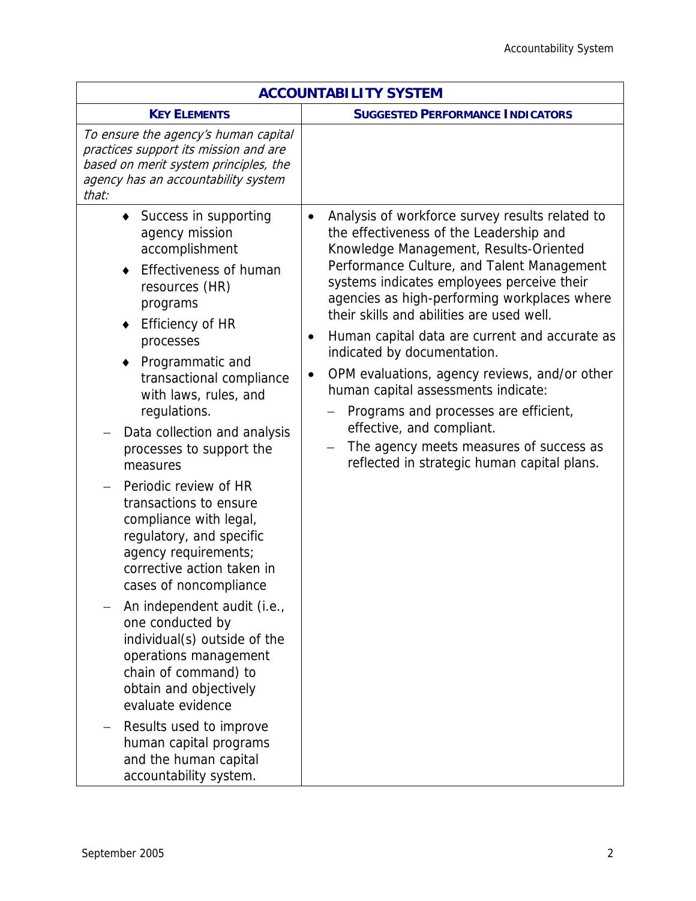| <b>ACCOUNTABILITY SYSTEM</b>                                                                                                                                                                                                                                                                                                                                                                                                                                                                                                                                                                                                                                                                                                                                                                                                 |                                                                                                                                                                                                                                                                                                                                                                                                                                                                                                                                                                                                                                                                                                               |  |
|------------------------------------------------------------------------------------------------------------------------------------------------------------------------------------------------------------------------------------------------------------------------------------------------------------------------------------------------------------------------------------------------------------------------------------------------------------------------------------------------------------------------------------------------------------------------------------------------------------------------------------------------------------------------------------------------------------------------------------------------------------------------------------------------------------------------------|---------------------------------------------------------------------------------------------------------------------------------------------------------------------------------------------------------------------------------------------------------------------------------------------------------------------------------------------------------------------------------------------------------------------------------------------------------------------------------------------------------------------------------------------------------------------------------------------------------------------------------------------------------------------------------------------------------------|--|
| <b>KEY ELEMENTS</b>                                                                                                                                                                                                                                                                                                                                                                                                                                                                                                                                                                                                                                                                                                                                                                                                          | <b>SUGGESTED PERFORMANCE INDICATORS</b>                                                                                                                                                                                                                                                                                                                                                                                                                                                                                                                                                                                                                                                                       |  |
| To ensure the agency's human capital<br>practices support its mission and are<br>based on merit system principles, the<br>agency has an accountability system<br>that:                                                                                                                                                                                                                                                                                                                                                                                                                                                                                                                                                                                                                                                       |                                                                                                                                                                                                                                                                                                                                                                                                                                                                                                                                                                                                                                                                                                               |  |
| ◆ Success in supporting<br>agency mission<br>accomplishment<br><b>Effectiveness of human</b><br>resources (HR)<br>programs<br><b>Efficiency of HR</b><br>٠<br>processes<br>Programmatic and<br>transactional compliance<br>with laws, rules, and<br>regulations.<br>Data collection and analysis<br>processes to support the<br>measures<br>Periodic review of HR<br>transactions to ensure<br>compliance with legal,<br>regulatory, and specific<br>agency requirements;<br>corrective action taken in<br>cases of noncompliance<br>An independent audit (i.e.,<br>one conducted by<br>individual(s) outside of the<br>operations management<br>chain of command) to<br>obtain and objectively<br>evaluate evidence<br>Results used to improve<br>human capital programs<br>and the human capital<br>accountability system. | Analysis of workforce survey results related to<br>$\bullet$<br>the effectiveness of the Leadership and<br>Knowledge Management, Results-Oriented<br>Performance Culture, and Talent Management<br>systems indicates employees perceive their<br>agencies as high-performing workplaces where<br>their skills and abilities are used well.<br>Human capital data are current and accurate as<br>$\bullet$<br>indicated by documentation.<br>OPM evaluations, agency reviews, and/or other<br>$\bullet$<br>human capital assessments indicate:<br>Programs and processes are efficient,<br>effective, and compliant.<br>The agency meets measures of success as<br>reflected in strategic human capital plans. |  |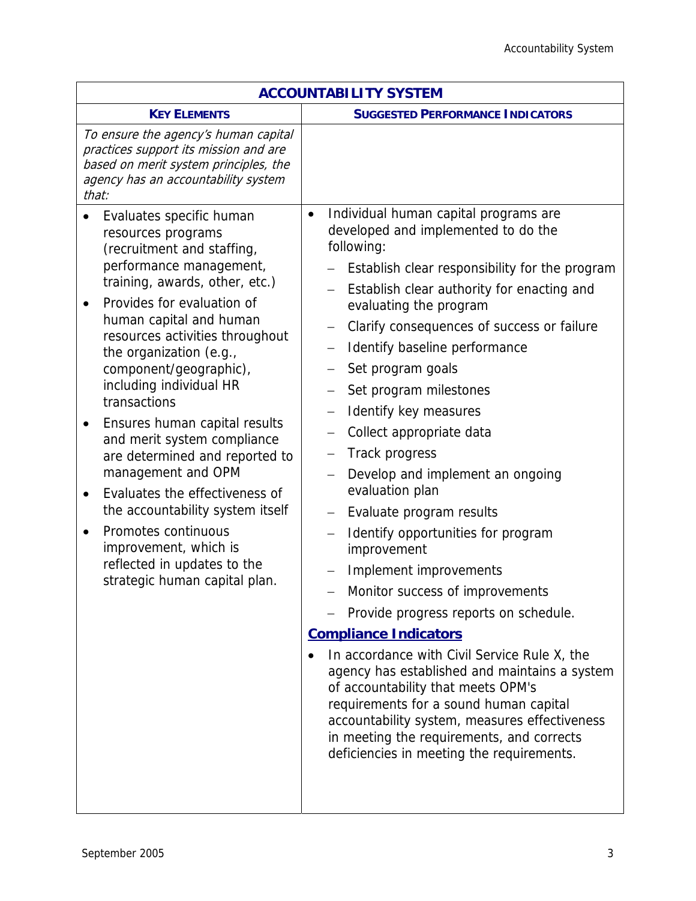| <b>ACCOUNTABILITY SYSTEM</b>                                                                                                                                                                                                                                                                                                                                                                                                                                                                                                                                                                                                                                                                    |                                                                                                                                                                                                                                                                                                                                                                                                                                                                                                                                                                                                                                                                                                                                                                                                                                                                                                                                                                                                                                                                                                          |  |  |
|-------------------------------------------------------------------------------------------------------------------------------------------------------------------------------------------------------------------------------------------------------------------------------------------------------------------------------------------------------------------------------------------------------------------------------------------------------------------------------------------------------------------------------------------------------------------------------------------------------------------------------------------------------------------------------------------------|----------------------------------------------------------------------------------------------------------------------------------------------------------------------------------------------------------------------------------------------------------------------------------------------------------------------------------------------------------------------------------------------------------------------------------------------------------------------------------------------------------------------------------------------------------------------------------------------------------------------------------------------------------------------------------------------------------------------------------------------------------------------------------------------------------------------------------------------------------------------------------------------------------------------------------------------------------------------------------------------------------------------------------------------------------------------------------------------------------|--|--|
| <b>KEY ELEMENTS</b>                                                                                                                                                                                                                                                                                                                                                                                                                                                                                                                                                                                                                                                                             | <b>SUGGESTED PERFORMANCE INDICATORS</b>                                                                                                                                                                                                                                                                                                                                                                                                                                                                                                                                                                                                                                                                                                                                                                                                                                                                                                                                                                                                                                                                  |  |  |
| To ensure the agency's human capital<br>practices support its mission and are<br>based on merit system principles, the<br>agency has an accountability system<br>that:                                                                                                                                                                                                                                                                                                                                                                                                                                                                                                                          |                                                                                                                                                                                                                                                                                                                                                                                                                                                                                                                                                                                                                                                                                                                                                                                                                                                                                                                                                                                                                                                                                                          |  |  |
| Evaluates specific human<br>resources programs<br>(recruitment and staffing,<br>performance management,<br>training, awards, other, etc.)<br>Provides for evaluation of<br>$\bullet$<br>human capital and human<br>resources activities throughout<br>the organization (e.g.,<br>component/geographic),<br>including individual HR<br>transactions<br>Ensures human capital results<br>٠<br>and merit system compliance<br>are determined and reported to<br>management and OPM<br>Evaluates the effectiveness of<br>$\bullet$<br>the accountability system itself<br>Promotes continuous<br>$\bullet$<br>improvement, which is<br>reflected in updates to the<br>strategic human capital plan. | Individual human capital programs are<br>$\bullet$<br>developed and implemented to do the<br>following:<br>Establish clear responsibility for the program<br>Establish clear authority for enacting and<br>evaluating the program<br>Clarify consequences of success or failure<br>$\overline{\phantom{m}}$<br>Identify baseline performance<br>Set program goals<br>Set program milestones<br>Identify key measures<br>Collect appropriate data<br>Track progress<br>Develop and implement an ongoing<br>evaluation plan<br>Evaluate program results<br>$\overline{\phantom{m}}$<br>Identify opportunities for program<br>improvement<br>Implement improvements<br>Monitor success of improvements<br>Provide progress reports on schedule.<br><b>Compliance Indicators</b><br>In accordance with Civil Service Rule X, the<br>agency has established and maintains a system<br>of accountability that meets OPM's<br>requirements for a sound human capital<br>accountability system, measures effectiveness<br>in meeting the requirements, and corrects<br>deficiencies in meeting the requirements. |  |  |